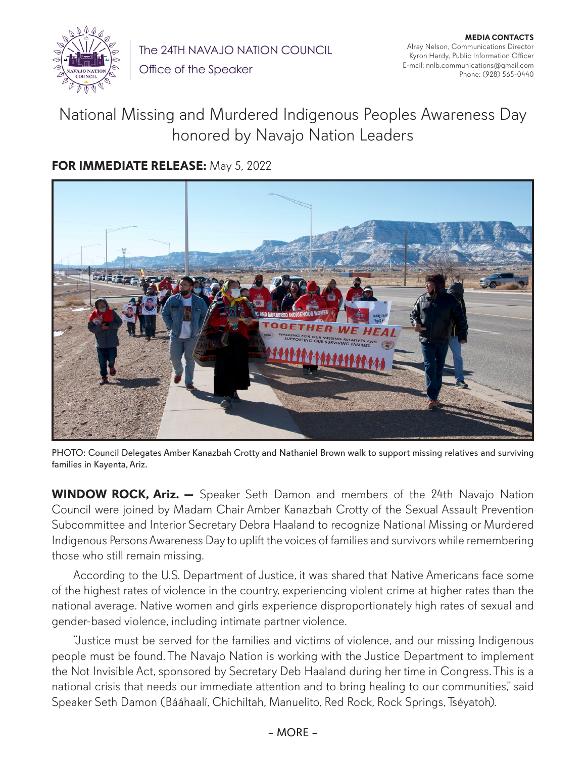

The 24TH NAVAJO NATION COUNCIL

Office of the Speaker

## National Missing and Murdered Indigenous Peoples Awareness Day honored by Navajo Nation Leaders

## **FOR IMMEDIATE RELEASE:** May 5, 2022



PHOTO: Council Delegates Amber Kanazbah Crotty and Nathaniel Brown walk to support missing relatives and surviving families in Kayenta, Ariz.

**WINDOW ROCK, Ariz. —** Speaker Seth Damon and members of the 24th Navajo Nation Council were joined by Madam Chair Amber Kanazbah Crotty of the Sexual Assault Prevention Subcommittee and Interior Secretary Debra Haaland to recognize National Missing or Murdered Indigenous Persons Awareness Day to uplift the voices of families and survivors while remembering those who still remain missing.

According to the U.S. Department of Justice, it was shared that Native Americans face some of the highest rates of violence in the country, experiencing violent crime at higher rates than the national average. Native women and girls experience disproportionately high rates of sexual and gender-based violence, including intimate partner violence.

"Justice must be served for the families and victims of violence, and our missing Indigenous people must be found. The Navajo Nation is working with the Justice Department to implement the Not Invisible Act, sponsored by Secretary Deb Haaland during her time in Congress. This is a national crisis that needs our immediate attention and to bring healing to our communities," said Speaker Seth Damon (Bááhaalí, Chichiltah, Manuelito, Red Rock, Rock Springs, Tséyatoh).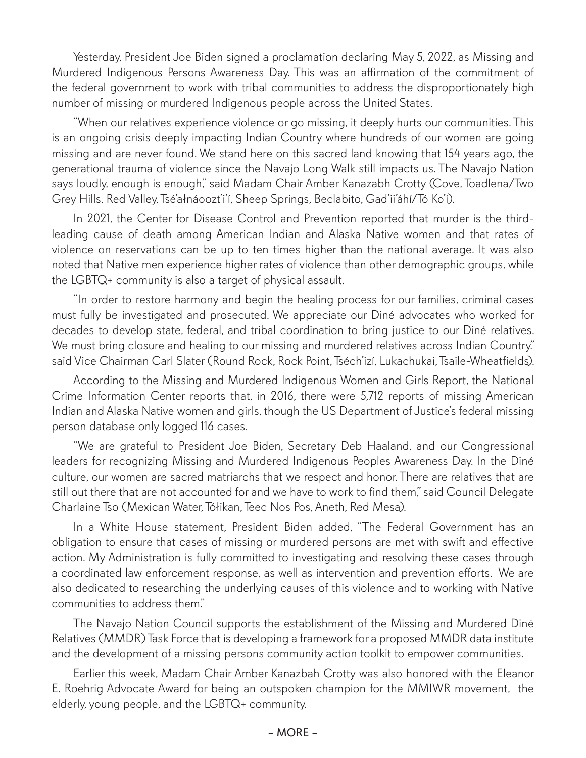Yesterday, President Joe Biden signed a proclamation declaring May 5, 2022, as Missing and Murdered Indigenous Persons Awareness Day. This was an affirmation of the commitment of the federal government to work with tribal communities to address the disproportionately high number of missing or murdered Indigenous people across the United States.

"When our relatives experience violence or go missing, it deeply hurts our communities. This is an ongoing crisis deeply impacting Indian Country where hundreds of our women are going missing and are never found. We stand here on this sacred land knowing that 154 years ago, the generational trauma of violence since the Navajo Long Walk still impacts us. The Navajo Nation says loudly, enough is enough," said Madam Chair Amber Kanazabh Crotty (Cove, Toadlena/Two Grey Hills, Red Valley, Tsé'ałnáoozt'i'í, Sheep Springs, Beclabito, Gad'ii'áhí/Tó Ko'í).

In 2021, the Center for Disease Control and Prevention reported that murder is the thirdleading cause of death among American Indian and Alaska Native women and that rates of violence on reservations can be up to ten times higher than the national average. It was also noted that Native men experience higher rates of violence than other demographic groups, while the LGBTQ+ community is also a target of physical assault.

"In order to restore harmony and begin the healing process for our families, criminal cases must fully be investigated and prosecuted. We appreciate our Diné advocates who worked for decades to develop state, federal, and tribal coordination to bring justice to our Diné relatives. We must bring closure and healing to our missing and murdered relatives across Indian Country." said Vice Chairman Carl Slater (Round Rock, Rock Point, Tséch'izí, Lukachukai, Tsaile-Wheatfields).

According to the Missing and Murdered Indigenous Women and Girls Report, the National Crime Information Center reports that, in 2016, there were 5,712 reports of missing American Indian and Alaska Native women and girls, though the US Department of Justice's federal missing person database only logged 116 cases.

"We are grateful to President Joe Biden, Secretary Deb Haaland, and our Congressional leaders for recognizing Missing and Murdered Indigenous Peoples Awareness Day. In the Diné culture, our women are sacred matriarchs that we respect and honor. There are relatives that are still out there that are not accounted for and we have to work to find them," said Council Delegate Charlaine Tso (Mexican Water, Tółikan, Teec Nos Pos, Aneth, Red Mesa).

In a White House statement, President Biden added, "The Federal Government has an obligation to ensure that cases of missing or murdered persons are met with swift and effective action. My Administration is fully committed to investigating and resolving these cases through a coordinated law enforcement response, as well as intervention and prevention efforts. We are also dedicated to researching the underlying causes of this violence and to working with Native communities to address them."

The Navajo Nation Council supports the establishment of the Missing and Murdered Diné Relatives (MMDR) Task Force that is developing a framework for a proposed MMDR data institute and the development of a missing persons community action toolkit to empower communities.

Earlier this week, Madam Chair Amber Kanazbah Crotty was also honored with the Eleanor E. Roehrig Advocate Award for being an outspoken champion for the MMIWR movement, the elderly, young people, and the LGBTQ+ community.